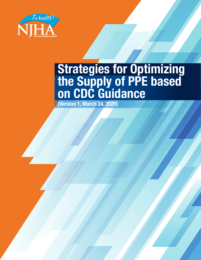

# **Strategies for Optimizing the Supply of PPE based on CDC Guidance**

**(Version 1, March 24, 2020)**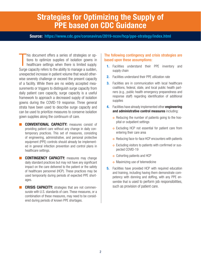#### **Strategies for Optimizing the Supply of PPE based on CDC Guidance**

#### **Source: https://www.cdc.gov/coronavirus/2019-ncov/hcp/ppe-strategy/index.html**

his document offers a series of strategies or options to optimize supplies of isolation gowns in healthcare settings when there is limited supply.<br>Surge capacity refers to the ability to manage a sudden, his document offers a series of strategies or options to optimize supplies of isolation gowns in healthcare settings when there is limited supply. unexpected increase in patient volume that would otherwise severely challenge or exceed the present capacity of a facility. While there are no widely accepted measurements or triggers to distinguish surge capacity from daily patient care capacity, surge capacity is a useful framework to approach a decreased supply of isolation gowns during the COVID-19 response. Three general strata have been used to describe surge capacity and can be used to prioritize measures to conserve isolation gown supplies along the continuum of care.

- **CONVENTIONAL CAPACITY:** measures consist of providing patient care without any change in daily contemporary practices. This set of measures, consisting of engineering, administrative, and personal protective equipment (PPE) controls should already be implemented in general infection prevention and control plans in healthcare settings.
- **E CONTINGENCY CAPACITY:** measures may change daily standard practices but may not have any significant impact on the care delivered to the patient or the safety of healthcare personnel (HCP). These practices may be used temporarily during periods of expected PPE shortages.
- **CRISIS CAPACITY:** strategies that are not commensurate with U.S. standards of care. These measures, or a combination of these measures, may need to be considered during periods of known PPE shortages.

#### The following contingency and crisis strategies are based upon these assumptions:

- **1.** Facilities understand their PPE inventory and supply chain
- **2.** Facilities understand their PPE utilization rate
- **3.** Facilities are in communication with local healthcare coalitions, federal, state, and local public health partners (e.g., public health emergency preparedness and response staff) regarding identification of additional supplies
- **4.** Facilities have already implemented other **engineering and administrative control measures** including:
	- o Reducing the number of patients going to the hospital or outpatient settings
	- o Excluding HCP not essential for patient care from entering their care area
	- o Reducing face-to-face HCP encounters with patients
	- <sup>|</sup> Excluding visitors to patients with confirmed or suspected COVID-19
	- <sup>|</sup> Cohorting patients and HCP
	- **o** Maximizing use of telemedicine
- **5.** Facilities have provided HCP with required education and training, including having them demonstrate competency with donning and doffing, with any PPE ensemble that is used to perform job responsibilities, such as provision of patient care.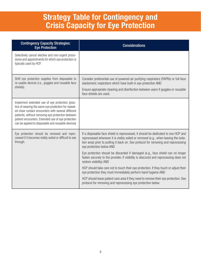# **Strategy Table for Contingency and Crisis Capacity for Eye Protection**

| <b>Contingency Capacity Strategies:</b><br><b>Eye Protection</b>                                                                                                                                                                                                                                                              | <b>Considerations</b>                                                                                                                                                                                                                                                                                                                                                                                                                                                                           |
|-------------------------------------------------------------------------------------------------------------------------------------------------------------------------------------------------------------------------------------------------------------------------------------------------------------------------------|-------------------------------------------------------------------------------------------------------------------------------------------------------------------------------------------------------------------------------------------------------------------------------------------------------------------------------------------------------------------------------------------------------------------------------------------------------------------------------------------------|
| Selectively cancel elective and non-urgent proce-<br>dures and appointments for which eye protection is<br>typically used by HCP.                                                                                                                                                                                             |                                                                                                                                                                                                                                                                                                                                                                                                                                                                                                 |
| Shift eye protection supplies from disposable to<br>re-usable devices (i.e., goggles and reusable face<br>shields).                                                                                                                                                                                                           | Consider preferential use of powered air purifying respirators (PAPRs) or full-face<br>elastomeric respirators which have built-in eye protection AND<br>Ensure appropriate cleaning and disinfection between users if goggles or reusable<br>face shields are used.                                                                                                                                                                                                                            |
| Implement extended use of eye protection (prac-<br>tice of wearing the same eye protection for repeat-<br>ed close contact encounters with several different<br>patients, without removing eye protection between<br>patient encounters. Extended use of eye protection<br>can be applied to disposable and reusable devices) |                                                                                                                                                                                                                                                                                                                                                                                                                                                                                                 |
| Eye protection should be removed and repro-<br>cessed if it becomes visibly soiled or difficult to see<br>through.                                                                                                                                                                                                            | If a disposable face shield is reprocessed, it should be dedicated to one HCP and<br>reprocessed whenever it is visibly soiled or removed (e.g., when leaving the isola-<br>tion area) prior to putting it back on. See protocol for removing and reprocessing<br>eye protection below AND<br>Eye protection should be discarded if damaged (e.g., face shield can no longer<br>fasten securely to the provider, if visibility is obscured and reprocessing does not<br>restore visibility) AND |
|                                                                                                                                                                                                                                                                                                                               | HCP should take care not to touch their eye protection. If they touch or adjust their<br>eye protection they must immediately perform hand hygiene AND<br>HCP should leave patient care area if they need to remove their eye protection. See<br>protocol for removing and reprocessing eye protection below.                                                                                                                                                                                   |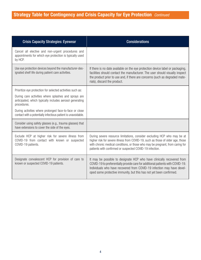| <b>Crisis Capacity Strategies: Eyewear</b>                                                                                      | <b>Considerations</b>                                                                                                                                                                                                                                                                                     |
|---------------------------------------------------------------------------------------------------------------------------------|-----------------------------------------------------------------------------------------------------------------------------------------------------------------------------------------------------------------------------------------------------------------------------------------------------------|
| Cancel all elective and non-urgent procedures and<br>appointments for which eye protection is typically used<br>by HCP.         |                                                                                                                                                                                                                                                                                                           |
| Use eye protection devices beyond the manufacturer-des-<br>ignated shelf life during patient care activities.                   | If there is no date available on the eye protection device label or packaging,<br>facilities should contact the manufacturer. The user should visually inspect<br>the product prior to use and, if there are concerns (such as degraded mate-<br>rials), discard the product.                             |
| Prioritize eye protection for selected activities such as:                                                                      |                                                                                                                                                                                                                                                                                                           |
| During care activities where splashes and sprays are<br>anticipated, which typically includes aerosol generating<br>procedures. |                                                                                                                                                                                                                                                                                                           |
| During activities where prolonged face-to-face or close<br>contact with a potentially infectious patient is unavoidable.        |                                                                                                                                                                                                                                                                                                           |
| Consider using safety glasses (e.g., trauma glasses) that<br>have extensions to cover the side of the eyes.                     |                                                                                                                                                                                                                                                                                                           |
| Exclude HCP at higher risk for severe illness from<br>COVID-19 from contact with known or suspected<br>COVID-19 patients.       | During severe resource limitations, consider excluding HCP who may be at<br>higher risk for severe illness from COVID-19, such as those of older age, those<br>with chronic medical conditions, or those who may be pregnant, from caring for<br>patients with confirmed or suspected COVID-19 infection. |
| Designate convalescent HCP for provision of care to<br>known or suspected COVID-19 patients.                                    | It may be possible to designate HCP who have clinically recovered from<br>COVID-19 to preferentially provide care for additional patients with COVID-19.<br>Individuals who have recovered from COVID-19 infection may have devel-<br>oped some protective immunity, but this has not yet been confirmed. |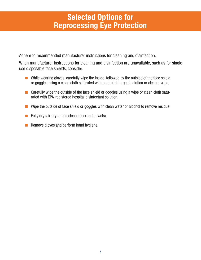# **Selected Options for Reprocessing Eye Protection**

Adhere to recommended manufacturer instructions for cleaning and disinfection.

When manufacturer instructions for cleaning and disinfection are unavailable, such as for single use disposable face shields, consider:

- While wearing gloves, carefully wipe the inside, followed by the outside of the face shield or goggles using a clean cloth saturated with neutral detergent solution or cleaner wipe.
- Carefully wipe the outside of the face shield or goggles using a wipe or clean cloth saturated with EPA-registered hospital disinfectant solution.
- Wipe the outside of face shield or goggles with clean water or alcohol to remove residue.
- Fully dry (air dry or use clean absorbent towels).
- Remove gloves and perform hand hygiene.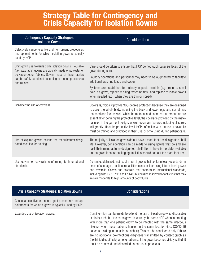### **Strategy Table for Contingency and Crisis Capacity for Isolation Gowns**

| <b>Contingency Capacity Strategies:</b><br><b>Isolation Gowns</b>                                                                                                                                                                       | <b>Considerations</b>                                                                                                                                                                                                                                                                                                                                                                                                                                                                                                                                                                      |
|-----------------------------------------------------------------------------------------------------------------------------------------------------------------------------------------------------------------------------------------|--------------------------------------------------------------------------------------------------------------------------------------------------------------------------------------------------------------------------------------------------------------------------------------------------------------------------------------------------------------------------------------------------------------------------------------------------------------------------------------------------------------------------------------------------------------------------------------------|
| Selectively cancel elective and non-urgent procedures<br>and appointments for which isolation gown is typically<br>used by HCP.                                                                                                         |                                                                                                                                                                                                                                                                                                                                                                                                                                                                                                                                                                                            |
| Shift gown use towards cloth isolation gowns. Reusable<br>(i.e., washable) gowns are typically made of polyester or<br>polyester-cotton fabrics. Gowns made of these fabrics<br>can be safely laundered according to routine procedures | Care should be taken to ensure that HCP do not touch outer surfaces of the<br>gown during care.<br>Laundry operations and personnel may need to be augmented to facilitate                                                                                                                                                                                                                                                                                                                                                                                                                 |
| and reused.                                                                                                                                                                                                                             | additional washing loads and cycles<br>Systems are established to routinely inspect, maintain (e.g., mend a small<br>hole in a gown, replace missing fastening ties), and replace reusable gowns<br>when needed (e.g., when they are thin or ripped)                                                                                                                                                                                                                                                                                                                                       |
| Consider the use of coveralls.                                                                                                                                                                                                          | Coveralls, typically provide 360-degree protection because they are designed<br>to cover the whole body, including the back and lower legs, and sometimes<br>the head and feet as well. While the material and seam barrier properties are<br>essential for defining the protective level, the coverage provided by the mate-<br>rial used in the garment design, as well as certain features including closures,<br>will greatly affect the protective level. HCP unfamiliar with the use of coveralls<br>must be trained and practiced in their use, prior to using during patient care. |
| Use of expired gowns beyond the manufacturer-desig-<br>nated shelf life for training.                                                                                                                                                   | The majority of isolation gowns do not have a manufacturer-designated shelf<br>life. However, consideration can be made to using gowns that do and are<br>past their manufacturer-designated shelf life. If there is no date available<br>on the gown label or packaging, facilities should contact the manufacturer.                                                                                                                                                                                                                                                                      |
| Use gowns or coveralls conforming to international<br>standards.                                                                                                                                                                        | Current guidelines do not require use of gowns that conform to any standards. In<br>times of shortages, healthcare facilities can consider using international gowns<br>and coveralls. Gowns and coveralls that conform to international standards,<br>including with EN 13795 and EN14126, could be reserved for activities that may<br>involve moderate to high amounts of body fluids.                                                                                                                                                                                                  |

| <b>Crisis Capacity Strategies: Isolation Gowns</b>                                                             | <b>Considerations</b>                                                                                                                                                                                                                                                                                                                                                                                                                                                                                                                                                                                                        |
|----------------------------------------------------------------------------------------------------------------|------------------------------------------------------------------------------------------------------------------------------------------------------------------------------------------------------------------------------------------------------------------------------------------------------------------------------------------------------------------------------------------------------------------------------------------------------------------------------------------------------------------------------------------------------------------------------------------------------------------------------|
| Cancel all elective and non-urgent procedures and ap-<br>pointments for which a gown is typically used by HCP. |                                                                                                                                                                                                                                                                                                                                                                                                                                                                                                                                                                                                                              |
| Extended use of isolation gowns.                                                                               | Consideration can be made to extend the use of isolation gowns (disposable<br>or cloth) such that the same gown is worn by the same HCP when interacting<br>with more than one patient known to be infected with the same infectious<br>disease when these patients housed in the same location (i.e., COVID-19<br>patients residing in an isolation cohort). This can be considered only if there<br>are no additional co-infectious diagnoses transmitted by contact (such as<br>Clostridioides difficile) among patients. If the gown becomes visibly soiled, it<br>must be removed and discarded as per usual practices. |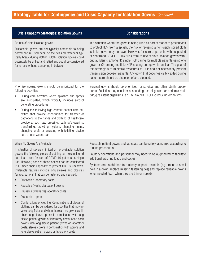| <b>Crisis Capacity Strategies: Isolation Gowns</b>                                                                                                                                                                                                                                                                                                                                                                                                                                                                                                                                                                                                                                                                  | <b>Considerations</b>                                                                                                                                                                                                                                                                                                                                                                                                                                                                                                                                                                                                                                                                          |
|---------------------------------------------------------------------------------------------------------------------------------------------------------------------------------------------------------------------------------------------------------------------------------------------------------------------------------------------------------------------------------------------------------------------------------------------------------------------------------------------------------------------------------------------------------------------------------------------------------------------------------------------------------------------------------------------------------------------|------------------------------------------------------------------------------------------------------------------------------------------------------------------------------------------------------------------------------------------------------------------------------------------------------------------------------------------------------------------------------------------------------------------------------------------------------------------------------------------------------------------------------------------------------------------------------------------------------------------------------------------------------------------------------------------------|
| Re-use of cloth isolation gowns.<br>Disposable gowns are not typically amenable to being<br>doffed and re-used because the ties and fasteners typ-<br>ically break during doffing. Cloth isolation gowns could<br>potentially be untied and retied and could be considered<br>for re-use without laundering in between.                                                                                                                                                                                                                                                                                                                                                                                             | In a situation where the gown is being used as part of standard precautions<br>to protect HCP from a splash, the risk of re-using a non-visibly soiled cloth<br>isolation gown may be lower. However, for care of patients with suspected<br>or confirmed COVID-19, HCP risk from re-use of cloth isolation gowns with-<br>out laundering among (1) single HCP caring for multiple patients using one<br>gown or (2) among multiple HCP sharing one gown is unclear. The goal of<br>this strategy is to minimize exposures to HCP and not necessarily prevent<br>transmission between patients. Any gown that becomes visibly soiled during<br>patient care should be disposed of and cleaned. |
| Prioritize gowns. Gowns should be prioritized for the<br>following activities:<br>During care activities where splashes and sprays<br>are anticipated, which typically includes aerosol<br>generating procedures<br>During the following high-contact patient care ac-<br>tivities that provide opportunities for transfer of<br>pathogens to the hands and clothing of healthcare<br>providers, such as: dressing, bathing/showering,<br>transferring, providing hygiene, changing linens,<br>changing briefs or assisting with toileting, device<br>care or use, wound care                                                                                                                                       | Surgical gowns should be prioritized for surgical and other sterile proce-<br>dures. Facilities may consider suspending use of gowns for endemic mul-<br>tidrug resistant organisms (e.g., MRSA, VRE, ESBL-producing organisms).                                                                                                                                                                                                                                                                                                                                                                                                                                                               |
| When No Gowns Are Available<br>In situation of severely limited or no available isolation<br>gowns, the following pieces of clothing can be considered<br>as a last resort for care of COVID-19 patients as single<br>use. However, none of these options can be considered<br>PPE, since their capability to protect HCP is unknown.<br>Preferable features include long sleeves and closures<br>(snaps, buttons) that can be fastened and secured.<br>Disposable laboratory coats<br>Reusable (washable) patient gowns<br>Reusable (washable) laboratory coats<br>Disposable aprons<br>$\bullet$<br>Combinations of clothing: Combinations of pieces of<br>clothing can be considered for activities that may in- | Reusable patient gowns and lab coats can be safely laundered according to<br>routine procedures.<br>Laundry operations and personnel may need to be augmented to facilitate<br>additional washing loads and cycles<br>Systems are established to routinely inspect, maintain (e.g., mend a small<br>hole in a gown, replace missing fastening ties) and replace reusable gowns<br>when needed (e.g., when they are thin or ripped).                                                                                                                                                                                                                                                            |
| volve body fluids and when there are no gowns avail-<br>able: Long sleeve aprons in combination with long<br>sleeve patient gowns or laboratory coats, open back<br>gowns with long sleeve patient gowns or laboratory<br>coats, sleeve covers in combination with aprons and<br>long sleeve patient gowns or laboratory coats                                                                                                                                                                                                                                                                                                                                                                                      |                                                                                                                                                                                                                                                                                                                                                                                                                                                                                                                                                                                                                                                                                                |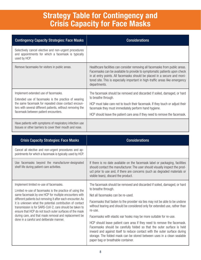# **Strategy Table for Contingency and Crisis Capacity for Face Masks**

| <b>Contingency Capacity Strategies: Face Masks</b>                                                                                                                                                                                                         | <b>Considerations</b>                                                                                                                                                                                                                                                                                                                 |
|------------------------------------------------------------------------------------------------------------------------------------------------------------------------------------------------------------------------------------------------------------|---------------------------------------------------------------------------------------------------------------------------------------------------------------------------------------------------------------------------------------------------------------------------------------------------------------------------------------|
| Selectively cancel elective and non-urgent procedures<br>and appointments for which a facemask is typically<br>used by HCP.                                                                                                                                |                                                                                                                                                                                                                                                                                                                                       |
| Remove facemasks for visitors in public areas.                                                                                                                                                                                                             | Healthcare facilities can consider removing all facemasks from public areas.<br>Facemasks can be available to provide to symptomatic patients upon check<br>in at entry points. All facemasks should be placed in a secure and moni-<br>tored site. This is especially important in high-traffic areas like emergency<br>departments. |
| Implement extended use of facemasks.<br>Extended use of facemasks is the practice of wearing<br>the same facemask for repeated close contact encoun-<br>ters with several different patients, without removing the<br>facemask between patient encounters. | The facemask should be removed and discarded if soiled, damaged, or hard<br>to breathe through.<br>HCP must take care not to touch their facemask. If they touch or adjust their<br>facemask they must immediately perform hand hygiene.<br>HCP should leave the patient care area if they need to remove the facemask.               |
| Have patients with symptoms of respiratory infection use<br>tissues or other barriers to cover their mouth and nose.                                                                                                                                       |                                                                                                                                                                                                                                                                                                                                       |

| <b>Crisis Capacity Strategies: Face Masks</b>                                                                                                                                                                                                                                                                                                                                                                                                                                                                     | <b>Considerations</b>                                                                                                                                                                                                                                                                                                                                                                                                                                                                                                                                                                                                                                                                                                                 |
|-------------------------------------------------------------------------------------------------------------------------------------------------------------------------------------------------------------------------------------------------------------------------------------------------------------------------------------------------------------------------------------------------------------------------------------------------------------------------------------------------------------------|---------------------------------------------------------------------------------------------------------------------------------------------------------------------------------------------------------------------------------------------------------------------------------------------------------------------------------------------------------------------------------------------------------------------------------------------------------------------------------------------------------------------------------------------------------------------------------------------------------------------------------------------------------------------------------------------------------------------------------------|
| Cancel all elective and non-urgent procedures and ap-<br>pointments for which a facemask is typically used by HCP.                                                                                                                                                                                                                                                                                                                                                                                                |                                                                                                                                                                                                                                                                                                                                                                                                                                                                                                                                                                                                                                                                                                                                       |
| Use facemasks beyond the manufacturer-designated<br>shelf life during patient care activities.                                                                                                                                                                                                                                                                                                                                                                                                                    | If there is no date available on the facemask label or packaging, facilities<br>should contact the manufacturer. The user should visually inspect the prod-<br>uct prior to use and, if there are concerns (such as degraded materials or<br>visible tears), discard the product.                                                                                                                                                                                                                                                                                                                                                                                                                                                     |
| Implement limited re-use of facemasks.<br>Limited re-use of facemasks is the practice of using the<br>same facemask by one HCP for multiple encounters with<br>different patients but removing it after each encounter. As<br>it is unknown what the potential contribution of contact<br>transmission is for SARS-CoV-2, care should be taken to<br>ensure that HCP do not touch outer surfaces of the mask<br>during care, and that mask removal and replacement be<br>done in a careful and deliberate manner. | The facemask should be removed and discarded if soiled, damaged, or hard<br>to breathe through.<br>Not all facemasks can be re-used.<br>Facemasks that fasten to the provider via ties may not be able to be undone<br>without tearing and should be considered only for extended use, rather than<br>re-use.<br>Facemasks with elastic ear hooks may be more suitable for re-use.<br>HCP should leave patient care area if they need to remove the facemask.<br>Facemasks should be carefully folded so that the outer surface is held<br>inward and against itself to reduce contact with the outer surface during<br>storage. The folded mask can be stored between uses in a clean sealable<br>paper bag or breathable container. |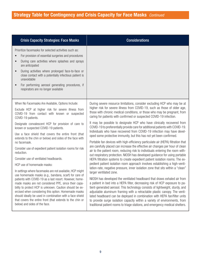| <b>Crisis Capacity Strategies: Face Masks</b>                                                                                                                                                                                                                                                                                                                                                                                                                                                                                                   | <b>Considerations</b>                                                                                                                                                                                                                                                                                                                                                                                                                                                                                                                                                                                                                                                                                                                                          |
|-------------------------------------------------------------------------------------------------------------------------------------------------------------------------------------------------------------------------------------------------------------------------------------------------------------------------------------------------------------------------------------------------------------------------------------------------------------------------------------------------------------------------------------------------|----------------------------------------------------------------------------------------------------------------------------------------------------------------------------------------------------------------------------------------------------------------------------------------------------------------------------------------------------------------------------------------------------------------------------------------------------------------------------------------------------------------------------------------------------------------------------------------------------------------------------------------------------------------------------------------------------------------------------------------------------------------|
| Prioritize facemasks for selected activities such as:<br>For provision of essential surgeries and procedures<br>During care activities where splashes and sprays<br>are anticipated<br>During activities where prolonged face-to-face or<br>close contact with a potentially infectious patient is<br>unavoidable<br>For performing aerosol generating procedures, if<br>respirators are no longer available                                                                                                                                    |                                                                                                                                                                                                                                                                                                                                                                                                                                                                                                                                                                                                                                                                                                                                                                |
| When No Facemasks Are Available, Options Include:<br>Exclude HCP at higher risk for severe illness from<br>COVID-19 from contact with known or suspected<br>COVID-19 patients.                                                                                                                                                                                                                                                                                                                                                                  | During severe resource limitations, consider excluding HCP who may be at<br>higher risk for severe illness from COVID-19, such as those of older age,<br>those with chronic medical conditions, or those who may be pregnant, from<br>caring for patients with confirmed or suspected COVID-19 infection.                                                                                                                                                                                                                                                                                                                                                                                                                                                      |
| Designate convalescent HCP for provision of care to<br>known or suspected COVID-19 patients.<br>Use a face shield that covers the entire front (that<br>extends to the chin or below) and sides of the face with<br>no facemask.<br>Consider use of expedient patient isolation rooms for risk<br>reduction.<br>Consider use of ventilated headboards.                                                                                                                                                                                          | It may be possible to designate HCP who have clinically recovered from<br>COVID-19 to preferentially provide care for additional patients with COVID-19.<br>Individuals who have recovered from COVID-19 infection may have devel-<br>oped some protective immunity, but this has not yet been confirmed.<br>Portable fan devices with high-efficiency particulate air (HEPA) filtration that<br>are carefully placed can increase the effective air changes per hour of clean<br>air to the patient room, reducing risk to individuals entering the room with-<br>out respiratory protection. NIOSH has developed guidance for using portable<br>HEPA filtration systems to create expedient patient isolation rooms. The ex-                                 |
| HCP use of homemade masks:<br>In settings where facemasks are not available, HCP might<br>use homemade masks (e.g., bandana, scarf) for care of<br>patients with COVID-19 as a last resort. However, home-<br>made masks are not considered PPE, since their capa-<br>bility to protect HCP is unknown. Caution should be ex-<br>ercised when considering this option. Homemade masks<br>should ideally be used in combination with a face shield<br>that covers the entire front (that extends to the chin or<br>below) and sides of the face. | pedient patient isolation room approach involves establishing a high-venti-<br>lation-rate, negative pressure, inner isolation zone that sits within a "clean"<br>larger ventilated zone.<br>NIOSH has developed the ventilated headboard that draws exhaled air from<br>a patient in bed into a HEPA filter, decreasing risk of HCP exposure to pa-<br>tient-generated aerosol. This technology consists of lightweight, sturdy, and<br>adjustable aluminum framing with a retractable plastic canopy. The venti-<br>lated headboard can be deployed in combination with HEPA fan/filter units<br>to provide surge isolation capacity within a variety of environments, from<br>traditional patient rooms to triage stations, and emergency medical shelters. |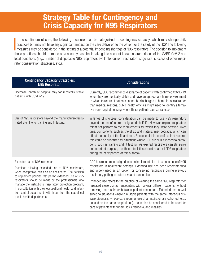# **Strategy Table for Contingency and Crisis Capacity for N95 Respirators**

 $\overline{\phantom{a}}$ n the continuum of care, the following measures can be categorized as contingency capacity, which may change daily practices but may not have any significant impact on the care delivered to the patient or the safety of the HCP. The following **n** measures may be considered in the setting of a potential impending shortage of N95 respirators. The decision to implement these practices should be made on a case by case basis taking into account known characteristics of the SARS-CoV-2 and local conditions (e.g., number of disposable N95 respirators available, current respirator usage rate, success of other respirator conservation strategies, etc.).

| <b>Contingency Capacity Strategies:</b><br><b>N95 Respirator</b>                                                                                                                                                                                                                                                                                                                                                                                                                   | <b>Considerations</b>                                                                                                                                                                                                                                                                                                                                                                                                                                                                                                                                                                                                                                                                                                                                                                                                            |
|------------------------------------------------------------------------------------------------------------------------------------------------------------------------------------------------------------------------------------------------------------------------------------------------------------------------------------------------------------------------------------------------------------------------------------------------------------------------------------|----------------------------------------------------------------------------------------------------------------------------------------------------------------------------------------------------------------------------------------------------------------------------------------------------------------------------------------------------------------------------------------------------------------------------------------------------------------------------------------------------------------------------------------------------------------------------------------------------------------------------------------------------------------------------------------------------------------------------------------------------------------------------------------------------------------------------------|
| Decrease length of hospital stay for medically stable<br>patients with COVID-19                                                                                                                                                                                                                                                                                                                                                                                                    | Currently, CDC recommends discharge of patients with confirmed COVID-19<br>when they are medically stable and have an appropriate home environment<br>to which to return. If patients cannot be discharged to home for social rather<br>than medical reasons, public health officials might need to identify alterna-<br>tive non-hospital housing where those patients can convalesce.                                                                                                                                                                                                                                                                                                                                                                                                                                          |
| Use of N95 respirators beyond the manufacturer-desig-<br>nated shelf life for training and fit testing.                                                                                                                                                                                                                                                                                                                                                                            | In times of shortage, consideration can be made to use N95 respirators<br>beyond the manufacturer-designated shelf life. However, expired respirators<br>might not perform to the requirements for which they were certified. Over<br>time, components such as the strap and material may degrade, which can<br>affect the quality of the fit and seal. Because of this, use of expired respira-<br>tors could be prioritized for situations where HCP are NOT exposed to patho-<br>gens, such as training and fit testing. As expired respirators can still serve<br>an important purpose, healthcare facilities should retain all N95 respirators<br>during the early phases of this outbreak.                                                                                                                                 |
| Extended use of N95 respirators<br>Practices allowing extended use of N95 respirators,<br>when acceptable, can also be considered. The decision<br>to implement policies that permit extended use of N95<br>respirators should be made by the professionals who<br>manage the institution's respiratory protection program,<br>in consultation with their occupational health and infec-<br>tion control departments with input from the state/local<br>public health departments. | CDC has recommended guidance on implementation of extended use of N95<br>respirators in healthcare settings. Extended use has been recommended<br>and widely used as an option for conserving respirators during previous<br>respiratory pathogen outbreaks and pandemics.<br>Extended use refers to the practice of wearing the same N95 respirator for<br>repeated close contact encounters with several different patients, without<br>removing the respirator between patient encounters. Extended use is well<br>suited to situations wherein multiple patients with the same infectious dis-<br>ease diagnosis, whose care requires use of a respirator, are cohorted (e.g.,<br>housed on the same hospital unit). It can also be considered to be used for<br>care of patients with tuberculosis, varicella, and measles. |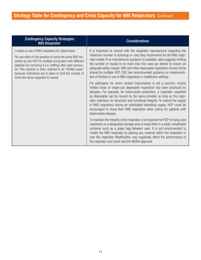| <b>Contingency Capacity Strategies:</b><br><b>N95 Respirator</b>                                                                                                                                                                                                                                                                                                                                            | <b>Considerations</b>                                                                                                                                                                                                                                                                                                                                                                                                                                                                                                                                                       |
|-------------------------------------------------------------------------------------------------------------------------------------------------------------------------------------------------------------------------------------------------------------------------------------------------------------------------------------------------------------------------------------------------------------|-----------------------------------------------------------------------------------------------------------------------------------------------------------------------------------------------------------------------------------------------------------------------------------------------------------------------------------------------------------------------------------------------------------------------------------------------------------------------------------------------------------------------------------------------------------------------------|
| Limited re-use of N95 respirators for tuberculosis<br>Re-use refers to the practice of using the same N95 res-<br>pirator by one HCP for multiple encounters with different<br>patients but removing it (i.e. doffing) after each encoun-<br>ter. This practice is often referred to as "limited reuse"<br>because restrictions are in place to limit the number of<br>times the same respirator is reused. | It is important to consult with the respirator manufacturer regarding the<br>maximum number of donnings or uses they recommend for the N95 respi-<br>rator model. If no manufacturer guidance is available, data suggests limiting<br>the number of reuses to no more than five uses per device to ensure an<br>adequate safety margin. N95 and other disposable respirators should not be<br>shared by multiple HCP. CDC has recommended guidance on implementa-<br>tion of limited re-use of N95 respirators in healthcare settings.                                      |
|                                                                                                                                                                                                                                                                                                                                                                                                             | For pathogens for which contact transmission is not a concern, routine<br>limited reuse of single-use disposable respirators has been practiced for<br>decades. For example, for tuberculosis prevention, a respirator classified<br>as disposable can be reused by the same provider as long as the respi-<br>rator maintains its structural and functional integrity. To extend the supply<br>of N95 respirators during an anticipated dwindling supply, HCP could be<br>encouraged to reuse their N95 respirators when caring for patients with<br>tuberculosis disease. |
|                                                                                                                                                                                                                                                                                                                                                                                                             | To maintain the integrity of the respirator, it is important for HCP to hang used<br>respirators in a designated storage area or keep them in a clean, breathable<br>container such as a paper bag between uses. It is not recommended to<br>modify the N95 respirator by placing any material within the respirator or<br>over the respirator. Modification may negatively affect the performance of<br>the respirator and could void the NIOSH approval.                                                                                                                  |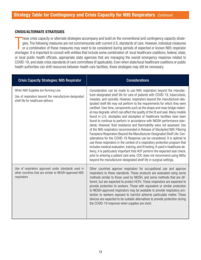#### **CRISIS/ALTERNATE STRATEGIES**

hese crisis capacity or alternate strategies accompany and build on the conventional and contingency capacity strategies. The following measures are not commensurate with current U.S. standards of care. However, individual hese crisis capacity or alternate strategies accompany and build on the conventional and contingency capacity strategies. The following measures are not commensurate with current U.S. standards of care. However, individual measures or a combination of these measures may need to be considered during periods of expected or known N95 respirator or local public health officials, appropriate state agencies that are managing the overall emergency response related to COVID-19, and state crisis standards of care committees (if applicable). Even when state/local healthcare coalitions or public health authorities can shift resources between health care facilities, these strategies may still be necessary.

| <b>Crisis Capacity Strategies: N95 Respirator</b>                                                                                | <b>Considerations</b>                                                                                                                                                                                                                                                                                                                                                                                                                                                                                                                                                                                                                                                                                                                                                                                                                                                                                                                                                                                                                                                                                                                                                                                                                                                                                                                                                   |
|----------------------------------------------------------------------------------------------------------------------------------|-------------------------------------------------------------------------------------------------------------------------------------------------------------------------------------------------------------------------------------------------------------------------------------------------------------------------------------------------------------------------------------------------------------------------------------------------------------------------------------------------------------------------------------------------------------------------------------------------------------------------------------------------------------------------------------------------------------------------------------------------------------------------------------------------------------------------------------------------------------------------------------------------------------------------------------------------------------------------------------------------------------------------------------------------------------------------------------------------------------------------------------------------------------------------------------------------------------------------------------------------------------------------------------------------------------------------------------------------------------------------|
| When N95 Supplies are Running Low<br>Use of respirators beyond the manufacturer-designated<br>shelf life for healthcare delivery | Consideration can be made to use N95 respirators beyond the manufac-<br>turer-designated shelf life for care of patients with COVID-19, tuberculosis,<br>measles, and varicella. However, respirators beyond the manufacturer-des-<br>ignated shelf life may not perform to the requirements for which they were<br>certified. Over time, components such as the straps and nose bridge materi-<br>al may degrade, which can affect the quality of the fit and seal. Many models<br>found in U.S. stockpiles and stockpiles of healthcare facilities have been<br>found to continue to perform in accordance with NIOSH performance stan-<br>dards. However, fluid resistance and flammability were not assessed. Use<br>of the N95 respirators recommended in Release of Stockpiled N95 Filtering<br>Facepiece Respirators Beyond the Manufacturer-Designated Shelf Life: Con-<br>siderations for the COVID-19 Response can be considered. It is optimal to<br>use these respirators in the context of a respiratory protection program that<br>includes medical evaluation, training, and fit testing. If used in healthcare de-<br>livery, it is particularly important that HCP perform the expected seal check,<br>prior to entering a patient care area. CDC does not recommend using N95s<br>beyond the manufacturer-designated shelf life in surgical settings. |
| Use of respirators approved under standards used in<br>other countries that are similar to NIOSH-approved N95<br>respirators     | Other countries approve respirators for occupational use and approve<br>respirators to these standards. These products are evaluated using some<br>methods similar to those used by NIOSH, and some methods that are dif-<br>ferent, but are expected to protect HCPs. These respirators are expected to<br>provide protection to workers. Those with equivalent or similar protection<br>to NIOSH-approved respirators may be available to provide respiratory pro-<br>tection to workers exposed to harmful airborne particulate matter. These<br>devices are expected to be suitable alternatives to provide protection during<br>the COVID-19 response when supplies are short.                                                                                                                                                                                                                                                                                                                                                                                                                                                                                                                                                                                                                                                                                     |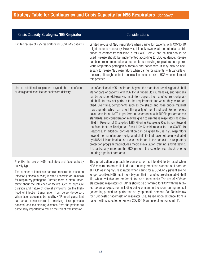#### **Strategy Table for Contingency and Crisis Capacity for N95 Respirators** *Continued*

| <b>Crisis Capacity Strategies: N95 Respirator</b>                                                                                                                                                                                                                                                                                                                                                                                                                                                                                                                                                                                                                                      | <b>Considerations</b>                                                                                                                                                                                                                                                                                                                                                                                                                                                                                                                                                                                                                                                                                                                                                                                                                                                                                                                                                                                                                                                                                                                                                                                                                                  |
|----------------------------------------------------------------------------------------------------------------------------------------------------------------------------------------------------------------------------------------------------------------------------------------------------------------------------------------------------------------------------------------------------------------------------------------------------------------------------------------------------------------------------------------------------------------------------------------------------------------------------------------------------------------------------------------|--------------------------------------------------------------------------------------------------------------------------------------------------------------------------------------------------------------------------------------------------------------------------------------------------------------------------------------------------------------------------------------------------------------------------------------------------------------------------------------------------------------------------------------------------------------------------------------------------------------------------------------------------------------------------------------------------------------------------------------------------------------------------------------------------------------------------------------------------------------------------------------------------------------------------------------------------------------------------------------------------------------------------------------------------------------------------------------------------------------------------------------------------------------------------------------------------------------------------------------------------------|
| Limited re-use of N95 respirators for COVID-19 patients                                                                                                                                                                                                                                                                                                                                                                                                                                                                                                                                                                                                                                | Limited re-use of N95 respirators when caring for patients with COVID-19<br>might become necessary. However, it is unknown what the potential contri-<br>bution of contact transmission is for SARS-CoV-2, and caution should be<br>used. Re-use should be implemented according to CDC guidance. Re-use<br>has been recommended as an option for conserving respirators during pre-<br>vious respiratory pathogen outbreaks and pandemics. It may also be nec-<br>essary to re-use N95 respirators when caring for patients with varicella or<br>measles, although contact transmission poses a risk to HCP who implement<br>this practice.                                                                                                                                                                                                                                                                                                                                                                                                                                                                                                                                                                                                           |
| Use of additional respirators beyond the manufactur-<br>er-designated shelf life for healthcare delivery                                                                                                                                                                                                                                                                                                                                                                                                                                                                                                                                                                               | Use of additional N95 respirators beyond the manufacturer-designated shelf<br>life for care of patients with COVID-19, tuberculosis, measles, and varicella<br>can be considered. However, respirators beyond the manufacturer-designat-<br>ed shelf life may not perform to the requirements for which they were cer-<br>tified. Over time, components such as the straps and nose bridge material<br>may degrade, which can affect the quality of the fit and seal. Some models<br>have been found NOT to perform in accordance with NIOSH performances<br>standards, and consideration may be given to use these respirators as iden-<br>tified in Release of Stockpiled N95 Filtering Facepiece Respirators Beyond<br>the Manufacturer-Designated Shelf Life: Considerations for the COVID-19<br>Response. In addition, consideration can be given to use N95 respirators<br>beyond the manufacturer-designated shelf life that have not been evaluated<br>by NIOSH. It is optimal to use these respirators in the context of a respiratory<br>protection program that includes medical evaluation, training, and fit testing.<br>It is particularly important that HCP perform the expected seal check, prior to<br>entering a patient care area. |
| Prioritize the use of N95 respirators and facemasks by<br>activity type<br>The number of infectious particles required to cause an<br>infection (infectious dose) is often uncertain or unknown<br>for respiratory pathogens. Further, there is often uncer-<br>tainty about the influence of factors such as exposure<br>duration and nature of clinical symptoms on the likeli-<br>hood of infection transmission from person-to-person.<br>When facemasks must be used by HCP entering a patient<br>care area, source control (i.e. masking of symptomatic<br>patients) and maintaining distance from the patient are<br>particularly important to reduce the risk of transmission. | This prioritization approach to conservation is intended to be used when<br>N95 respirators are so limited that routinely practiced standards of care for<br>all HCP wearing N95 respirators when caring for a COVID-19 patient are no<br>longer possible. N95 respirators beyond their manufacture-designated shelf<br>life, when available, are preferable to use of facemasks. The use of N95s or<br>elastomeric respirators or PAPRs should be prioritized for HCP with the high-<br>est potential exposures including being present in the room during aerosol<br>generating procedures performed on symptomatic persons. See Table below<br>for "Suggested facemask or respirator use, based upon distance from a<br>patient with suspected or known COVID-19 and use of source control".                                                                                                                                                                                                                                                                                                                                                                                                                                                        |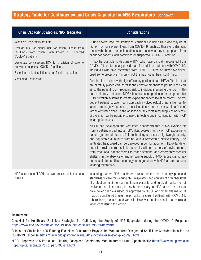#### **Strategy Table for Contingency and Crisis Capacity for N95 Respirators** *Continued*

| <b>Crisis Capacity Strategies: N95 Respirator</b>                                                                                                                            | <b>Considerations</b>                                                                                                                                                                                                                                                                                                                                                                                                                                                                                                                                                                                                                                                                                                                                                  |
|------------------------------------------------------------------------------------------------------------------------------------------------------------------------------|------------------------------------------------------------------------------------------------------------------------------------------------------------------------------------------------------------------------------------------------------------------------------------------------------------------------------------------------------------------------------------------------------------------------------------------------------------------------------------------------------------------------------------------------------------------------------------------------------------------------------------------------------------------------------------------------------------------------------------------------------------------------|
| When No Respirators are Left<br>Exclude HCP at higher risk for severe illness from<br>COVID-19 from contact with known or suspected<br>COVID-19 patients                     | During severe resource limitations, consider excluding HCP who may be at<br>higher risk for severe illness from COVID-19, such as those of older age,<br>those with chronic medical conditions, or those who may be pregnant, from<br>caring for patients with confirmed or suspected COVID-19 infection.                                                                                                                                                                                                                                                                                                                                                                                                                                                              |
| Designate convalescent HCP for provision of care to<br>known or suspected COVID-19 patients<br>Expedient patient isolation rooms for risk-reduction<br>Ventilated Headboards | It may be possible to designate HCP who have clinically recovered from<br>COVID-19 to preferentially provide care for additional patients with COVID-19.<br>Individuals who have recovered from COVID-19 infection may have devel-<br>oped some protective immunity, but this has not yet been confirmed.                                                                                                                                                                                                                                                                                                                                                                                                                                                              |
|                                                                                                                                                                              | Portable fan devices with high-efficiency particulate air (HEPA) filtration that<br>are carefully placed can increase the effective air changes per hour of clean<br>air to the patient room, reducing risk to individuals entering the room with-<br>out respiratory protection. NIOSH has developed guidance for using portable<br>HEPA filtration systems to create expedient patient isolation rooms. The ex-<br>pedient patient isolation room approach involves establishing a high-venti-<br>lation-rate, negative pressure, inner isolation zone that sits within a "clean"<br>larger ventilated zone. In the absence of any remaining supply of N95 res-<br>pirators, it may be possible to use this technology in conjunction with HCP<br>wearing facemasks. |
|                                                                                                                                                                              | NIOSH has developed the ventilated headboard that draws exhaled air<br>from a patient in bed into a HEPA filter, decreasing risk of HCP exposure to<br>patient-generated aerosol. This technology consists of lightweight, sturdy,<br>and adjustable aluminum framing with a retractable plastic canopy. The<br>ventilated headboard can be deployed in combination with HEPA fan/filter<br>units to provide surge isolation capacity within a variety of environments,<br>from traditional patient rooms to triage stations, and emergency medical<br>shelters. In the absence of any remaining supply of N95 respirators, it may<br>be possible to use this technology in conjunction with HCP and/or patients<br>wearing facemasks.                                 |
| HCP use of non-NIOSH approved masks or homemade<br>masks                                                                                                                     | In settings where N95 respirators are so limited that routinely practiced<br>standards of care for wearing N95 respirators and equivalent or higher level<br>of protection respirators are no longer possible, and surgical masks are not<br>available, as a last resort, it may be necessary for HCP to use masks that<br>have never been evaluated or approved by NIOSH or homemade masks. It<br>may be considered to use these masks for care of patients with COVID-19,<br>tuberculosis, measles, and varicella. However, caution should be exercised<br>when considering this option.                                                                                                                                                                             |

#### **Resources:**

Checklist for Healthcare Facilities: Strategies for Optimizing the Supply of N95 Respirators during the COVID-19 Response: https://www.cdc.gov/coronavirus/2019-ncov/hcp/checklist-n95-strategy.html

Release of Stockpiled N95 Filtering Facepiece Respirators Beyond the Manufacturer-Designated Shelf Life: Considerations for the COVID-19 Response: https://www.cdc.gov/coronavirus/2019-ncov/release-stockpiled-N95.html

NIOSH Approved N95 Particulate Filtering Facepiece Respirators: Manufacturers Listed Alphabetically: https://www.cdc.gov/niosh/ npptl/topics/respirators/disp\_part/n95list1.html